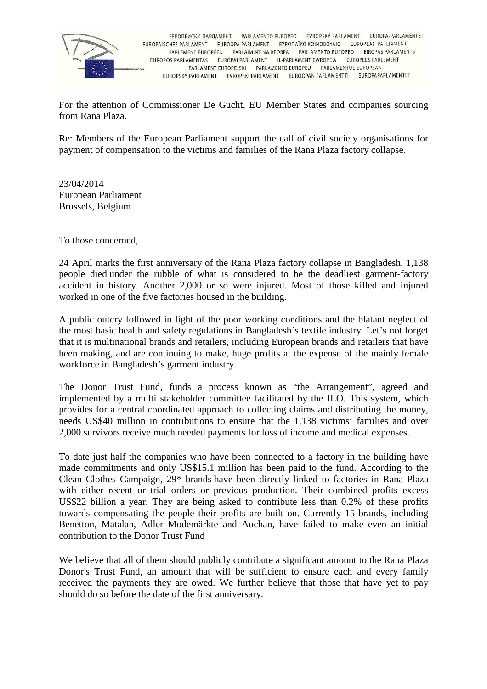

EBPOΠΕЙСКИ ПАРЛАМЕНТ РАВLAMENTO EUROPEO EVROPSKÝ PARLAMENT FUROPA-PARI AMENTET EUROPÄISCHES PARLAMENT EUROOPA PARLAMENT EΥΡΩΠΑΪΚΟ ΚΟΙΝΟΒΟΥΛΙΟ EUROPEAN PARLIAMENT PARLEMENT EUROPÉEN PARLAIMINT NA HEORPA PARLAMENTO EUROPEO EIROPAS PARLAMENTS EUROPOS PARLAMENTAS EURÓPAI PARLAMENT IL-PARLAMENT EWROPEW EUROPEES PARLEMENT PARLAMENT EUROPEJSKI PARLAMENTO EUROPEU PARLAMENTUL EUROPEAN EURÓPSKY PARLAMENT EVROPSKI PARLAMENT EUROOPAN PARLAMENTTI EUROPAPARLAMENTET

For the attention of Commissioner De Gucht, EU Member States and companies sourcing from Rana Plaza.

Re: Members of the European Parliament support the call of civil society organisations for payment of compensation to the victims and families of the Rana Plaza factory collapse.

23/04/2014 European Parliament Brussels, Belgium.

To those concerned,

24 April marks the first anniversary of the Rana Plaza factory collapse in Bangladesh. 1,138 people died under the rubble of what is considered to be the deadliest garment-factory accident in history. Another 2,000 or so were injured. Most of those killed and injured worked in one of the five factories housed in the building.

A public outcry followed in light of the poor working conditions and the blatant neglect of the most basic health and safety regulations in Bangladesh´s textile industry. Let's not forget that it is multinational brands and retailers, including European brands and retailers that have been making, and are continuing to make, huge profits at the expense of the mainly female workforce in Bangladesh's garment industry.

The Donor Trust Fund, funds a process known as "the Arrangement", agreed and implemented by a multi stakeholder committee facilitated by the ILO. This system, which provides for a central coordinated approach to collecting claims and distributing the money, needs US\$40 million in contributions to ensure that the 1,138 victims' families and over 2,000 survivors receive much needed payments for loss of income and medical expenses.

To date just half the companies who have been connected to a factory in the building have made commitments and only US\$15.1 million has been paid to the fund. According to the Clean Clothes Campaign, 29\* brands have been directly linked to factories in Rana Plaza with either recent or trial orders or previous production. Their combined profits excess US\$22 billion a year. They are being asked to contribute less than 0.2% of these profits towards compensating the people their profits are built on. Currently 15 brands, including Benetton, Matalan, Adler Modemärkte and Auchan, have failed to make even an initial contribution to the Donor Trust Fund

We believe that all of them should publicly contribute a significant amount to the Rana Plaza Donor's Trust Fund, an amount that will be sufficient to ensure each and every family received the payments they are owed. We further believe that those that have yet to pay should do so before the date of the first anniversary.